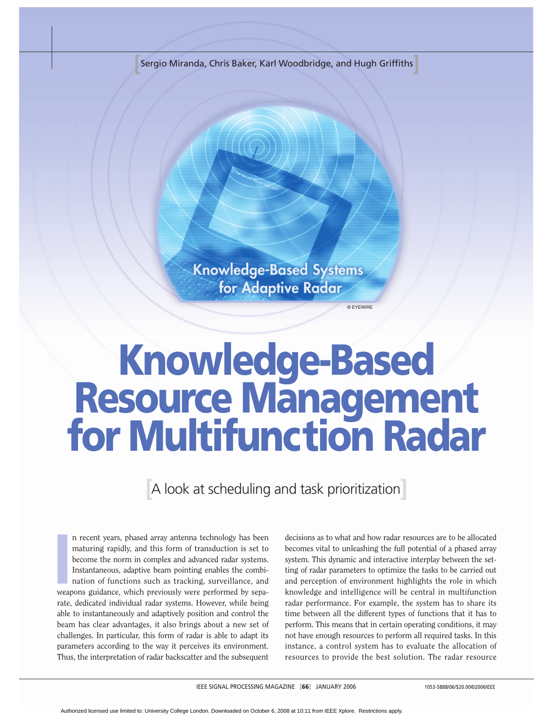**[**Sergio Miranda, Chris Baker, Karl Woodbridge, and Hugh Griffiths**]**

**Knowledge-Based Systems** for Adaptive Radar

© EYEWIRE

# **Knowledge-Based Resource Management for Multifunction Radar**

**[**A look at scheduling and task prioritization**]**

In recent years, phased array antenna technology has been maturing rapidly, and this form of transduction is set to become the norm in complex and advanced radar systems. Instantaneous, adaptive beam pointing enables the c n recent years, phased array antenna technology has been maturing rapidly, and this form of transduction is set to become the norm in complex and advanced radar systems. Instantaneous, adaptive beam pointing enables the combination of functions such as tracking, surveillance, and rate, dedicated individual radar systems. However, while being able to instantaneously and adaptively position and control the beam has clear advantages, it also brings about a new set of challenges. In particular, this form of radar is able to adapt its parameters according to the way it perceives its environment. Thus, the interpretation of radar backscatter and the subsequent

decisions as to what and how radar resources are to be allocated becomes vital to unleashing the full potential of a phased array system. This dynamic and interactive interplay between the setting of radar parameters to optimize the tasks to be carried out and perception of environment highlights the role in which knowledge and intelligence will be central in multifunction radar performance. For example, the system has to share its time between all the different types of functions that it has to perform. This means that in certain operating conditions, it may not have enough resources to perform all required tasks. In this instance, a control system has to evaluate the allocation of resources to provide the best solution. The radar resource

IEEE SIGNAL PROCESSING MAGAZINE **[66]** JANUARY 2006 1053-5888/06/\$20.00©2006IEEE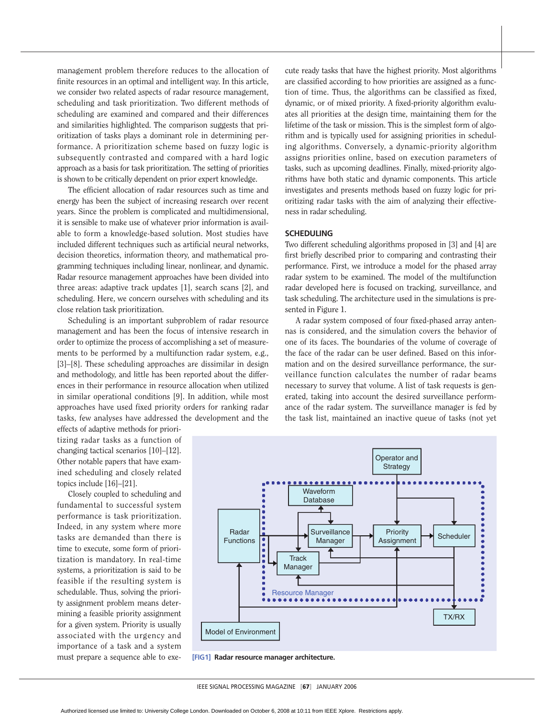management problem therefore reduces to the allocation of finite resources in an optimal and intelligent way. In this article, we consider two related aspects of radar resource management, scheduling and task prioritization. Two different methods of scheduling are examined and compared and their differences and similarities highlighted. The comparison suggests that prioritization of tasks plays a dominant role in determining performance. A prioritization scheme based on fuzzy logic is subsequently contrasted and compared with a hard logic approach as a basis for task prioritization. The setting of priorities is shown to be critically dependent on prior expert knowledge.

The efficient allocation of radar resources such as time and energy has been the subject of increasing research over recent years. Since the problem is complicated and multidimensional, it is sensible to make use of whatever prior information is available to form a knowledge-based solution. Most studies have included different techniques such as artificial neural networks, decision theoretics, information theory, and mathematical programming techniques including linear, nonlinear, and dynamic. Radar resource management approaches have been divided into three areas: adaptive track updates [1], search scans [2], and scheduling. Here, we concern ourselves with scheduling and its close relation task prioritization.

Scheduling is an important subproblem of radar resource management and has been the focus of intensive research in order to optimize the process of accomplishing a set of measurements to be performed by a multifunction radar system, e.g., [3]–[8]. These scheduling approaches are dissimilar in design and methodology, and little has been reported about the differences in their performance in resource allocation when utilized in similar operational conditions [9]. In addition, while most approaches have used fixed priority orders for ranking radar tasks, few analyses have addressed the development and the

effects of adaptive methods for prioritizing radar tasks as a function of changing tactical scenarios [10]–[12]. Other notable papers that have examined scheduling and closely related topics include [16]–[21].

Closely coupled to scheduling and fundamental to successful system performance is task prioritization. Indeed, in any system where more tasks are demanded than there is time to execute, some form of prioritization is mandatory. In real-time systems, a prioritization is said to be feasible if the resulting system is schedulable. Thus, solving the priority assignment problem means determining a feasible priority assignment for a given system. Priority is usually associated with the urgency and importance of a task and a system must prepare a sequence able to execute ready tasks that have the highest priority. Most algorithms are classified according to how priorities are assigned as a function of time. Thus, the algorithms can be classified as fixed, dynamic, or of mixed priority. A fixed-priority algorithm evaluates all priorities at the design time, maintaining them for the lifetime of the task or mission. This is the simplest form of algorithm and is typically used for assigning priorities in scheduling algorithms. Conversely, a dynamic-priority algorithm assigns priorities online, based on execution parameters of tasks, such as upcoming deadlines. Finally, mixed-priority algorithms have both static and dynamic components. This article investigates and presents methods based on fuzzy logic for prioritizing radar tasks with the aim of analyzing their effectiveness in radar scheduling.

## **SCHEDULING**

Two different scheduling algorithms proposed in [3] and [4] are first briefly described prior to comparing and contrasting their performance. First, we introduce a model for the phased array radar system to be examined. The model of the multifunction radar developed here is focused on tracking, surveillance, and task scheduling. The architecture used in the simulations is presented in Figure 1.

A radar system composed of four fixed-phased array antennas is considered, and the simulation covers the behavior of one of its faces. The boundaries of the volume of coverage of the face of the radar can be user defined. Based on this information and on the desired surveillance performance, the surveillance function calculates the number of radar beams necessary to survey that volume. A list of task requests is generated, taking into account the desired surveillance performance of the radar system. The surveillance manager is fed by the task list, maintained an inactive queue of tasks (not yet



**[FIG1] Radar resource manager architecture.**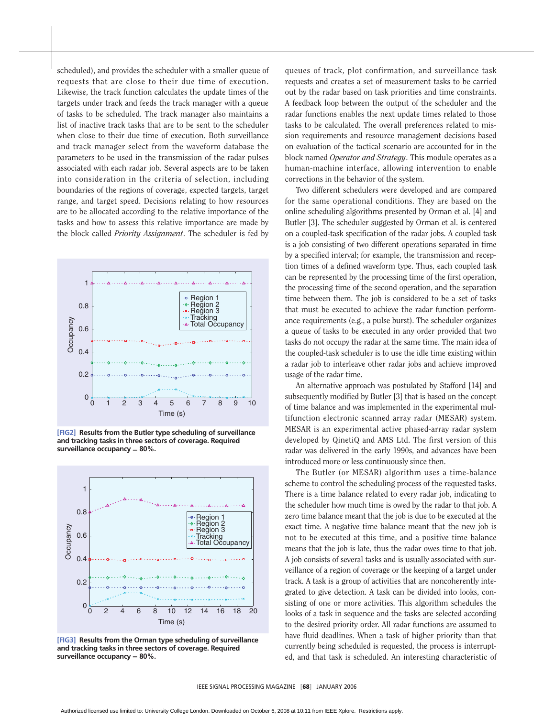scheduled), and provides the scheduler with a smaller queue of requests that are close to their due time of execution. Likewise, the track function calculates the update times of the targets under track and feeds the track manager with a queue of tasks to be scheduled. The track manager also maintains a list of inactive track tasks that are to be sent to the scheduler when close to their due time of execution. Both surveillance and track manager select from the waveform database the parameters to be used in the transmission of the radar pulses associated with each radar job. Several aspects are to be taken into consideration in the criteria of selection, including boundaries of the regions of coverage, expected targets, target range, and target speed. Decisions relating to how resources are to be allocated according to the relative importance of the tasks and how to assess this relative importance are made by the block called *Priority Assignment*. The scheduler is fed by



**[FIG2] Results from the Butler type scheduling of surveillance and tracking tasks in three sectors of coverage. Required surveillance occupancy** <sup>=</sup> **80%.**



**[FIG3] Results from the Orman type scheduling of surveillance and tracking tasks in three sectors of coverage. Required surveillance occupancy** <sup>=</sup> **80%.**

queues of track, plot confirmation, and surveillance task requests and creates a set of measurement tasks to be carried out by the radar based on task priorities and time constraints. A feedback loop between the output of the scheduler and the radar functions enables the next update times related to those tasks to be calculated. The overall preferences related to mission requirements and resource management decisions based on evaluation of the tactical scenario are accounted for in the block named *Operator and Strategy*. This module operates as a human-machine interface, allowing intervention to enable corrections in the behavior of the system.

Two different schedulers were developed and are compared for the same operational conditions. They are based on the online scheduling algorithms presented by Orman et al. [4] and Butler [3]. The scheduler suggested by Orman et al. is centered on a coupled-task specification of the radar jobs. A coupled task is a job consisting of two different operations separated in time by a specified interval; for example, the transmission and reception times of a defined waveform type. Thus, each coupled task can be represented by the processing time of the first operation, the processing time of the second operation, and the separation time between them. The job is considered to be a set of tasks that must be executed to achieve the radar function performance requirements (e.g., a pulse burst). The scheduler organizes a queue of tasks to be executed in any order provided that two tasks do not occupy the radar at the same time. The main idea of the coupled-task scheduler is to use the idle time existing within a radar job to interleave other radar jobs and achieve improved usage of the radar time.

An alternative approach was postulated by Stafford [14] and subsequently modified by Butler [3] that is based on the concept of time balance and was implemented in the experimental multifunction electronic scanned array radar (MESAR) system. MESAR is an experimental active phased-array radar system developed by QinetiQ and AMS Ltd. The first version of this radar was delivered in the early 1990s, and advances have been introduced more or less continuously since then.

The Butler (or MESAR) algorithm uses a time-balance scheme to control the scheduling process of the requested tasks. There is a time balance related to every radar job, indicating to the scheduler how much time is owed by the radar to that job. A zero time balance meant that the job is due to be executed at the exact time. A negative time balance meant that the new job is not to be executed at this time, and a positive time balance means that the job is late, thus the radar owes time to that job. A job consists of several tasks and is usually associated with surveillance of a region of coverage or the keeping of a target under track. A task is a group of activities that are noncoherently integrated to give detection. A task can be divided into looks, consisting of one or more activities. This algorithm schedules the looks of a task in sequence and the tasks are selected according to the desired priority order. All radar functions are assumed to have fluid deadlines. When a task of higher priority than that currently being scheduled is requested, the process is interrupted, and that task is scheduled. An interesting characteristic of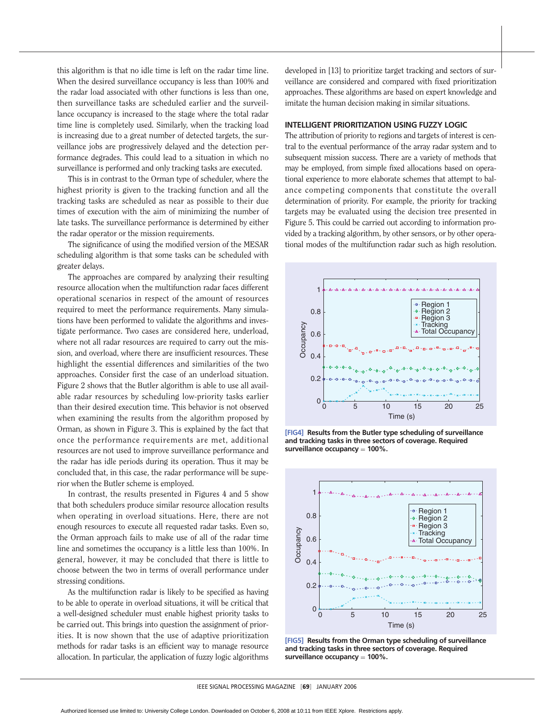this algorithm is that no idle time is left on the radar time line. When the desired surveillance occupancy is less than 100% and the radar load associated with other functions is less than one, then surveillance tasks are scheduled earlier and the surveillance occupancy is increased to the stage where the total radar time line is completely used. Similarly, when the tracking load is increasing due to a great number of detected targets, the surveillance jobs are progressively delayed and the detection performance degrades. This could lead to a situation in which no surveillance is performed and only tracking tasks are executed.

This is in contrast to the Orman type of scheduler, where the highest priority is given to the tracking function and all the tracking tasks are scheduled as near as possible to their due times of execution with the aim of minimizing the number of late tasks. The surveillance performance is determined by either the radar operator or the mission requirements.

The significance of using the modified version of the MESAR scheduling algorithm is that some tasks can be scheduled with greater delays.

The approaches are compared by analyzing their resulting resource allocation when the multifunction radar faces different operational scenarios in respect of the amount of resources required to meet the performance requirements. Many simulations have been performed to validate the algorithms and investigate performance. Two cases are considered here, underload, where not all radar resources are required to carry out the mission, and overload, where there are insufficient resources. These highlight the essential differences and similarities of the two approaches. Consider first the case of an underload situation. Figure 2 shows that the Butler algorithm is able to use all available radar resources by scheduling low-priority tasks earlier than their desired execution time. This behavior is not observed when examining the results from the algorithm proposed by Orman, as shown in Figure 3. This is explained by the fact that once the performance requirements are met, additional resources are not used to improve surveillance performance and the radar has idle periods during its operation. Thus it may be concluded that, in this case, the radar performance will be superior when the Butler scheme is employed.

In contrast, the results presented in Figures 4 and 5 show that both schedulers produce similar resource allocation results when operating in overload situations. Here, there are not enough resources to execute all requested radar tasks. Even so, the Orman approach fails to make use of all of the radar time line and sometimes the occupancy is a little less than 100%. In general, however, it may be concluded that there is little to choose between the two in terms of overall performance under stressing conditions.

As the multifunction radar is likely to be specified as having to be able to operate in overload situations, it will be critical that a well-designed scheduler must enable highest priority tasks to be carried out. This brings into question the assignment of priorities. It is now shown that the use of adaptive prioritization methods for radar tasks is an efficient way to manage resource allocation. In particular, the application of fuzzy logic algorithms developed in [13] to prioritize target tracking and sectors of surveillance are considered and compared with fixed prioritization approaches. These algorithms are based on expert knowledge and imitate the human decision making in similar situations.

## **INTELLIGENT PRIORITIZATION USING FUZZY LOGIC**

The attribution of priority to regions and targets of interest is central to the eventual performance of the array radar system and to subsequent mission success. There are a variety of methods that may be employed, from simple fixed allocations based on operational experience to more elaborate schemes that attempt to balance competing components that constitute the overall determination of priority. For example, the priority for tracking targets may be evaluated using the decision tree presented in Figure 5. This could be carried out according to information provided by a tracking algorithm, by other sensors, or by other operational modes of the multifunction radar such as high resolution.



**[FIG4] Results from the Butler type scheduling of surveillance and tracking tasks in three sectors of coverage. Required surveillance occupancy** <sup>=</sup> **100%.**



**[FIG5] Results from the Orman type scheduling of surveillance and tracking tasks in three sectors of coverage. Required surveillance occupancy** <sup>=</sup> **100%.**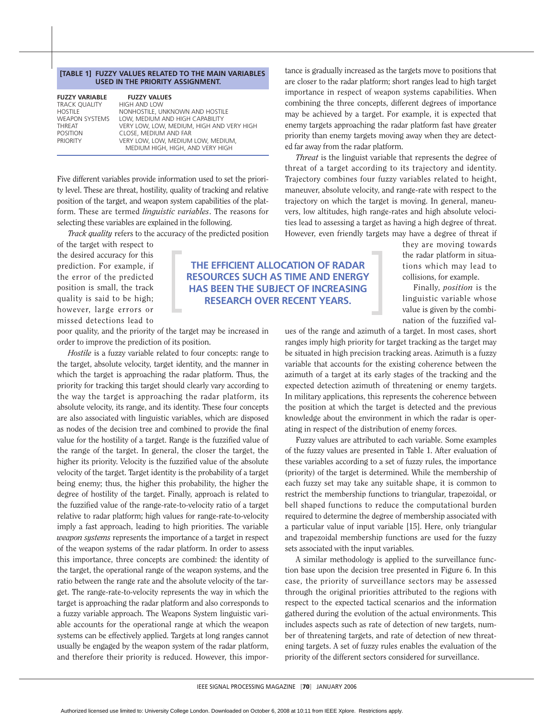#### **[TABLE 1] FUZZY VALUES RELATED TO THE MAIN VARIABLES USED IN THE PRIORITY ASSIGNMENT.**

| <b>FUZZY VARIABLE</b> | <b>FUZZY VALUES</b>                       |
|-----------------------|-------------------------------------------|
| TRACK QUALITY         | <b>HIGH AND LOW</b>                       |
| <b>HOSTILE</b>        | NONHOSTILE, UNKNOWN AND HOSTILE           |
| <b>WEAPON SYSTEMS</b> | LOW. MEDIUM AND HIGH CAPABILITY           |
| THREAT                | VERY LOW, LOW, MEDIUM, HIGH AND VERY HIGH |
| <b>POSITION</b>       | CLOSE, MEDIUM AND FAR                     |
| <b>PRIORITY</b>       | VERY LOW, LOW, MEDIUM LOW, MEDIUM,        |
|                       | MEDIUM HIGH, HIGH, AND VERY HIGH          |

Five different variables provide information used to set the priority level. These are threat, hostility, quality of tracking and relative position of the target, and weapon system capabilities of the platform. These are termed *linguistic variables*. The reasons for selecting these variables are explained in the following.

*Track quality* refers to the accuracy of the predicted position

of the target with respect to the desired accuracy for this prediction. For example, if the error of the predicted position is small, the track quality is said to be high; however, large errors or missed detections lead to

poor quality, and the priority of the target may be increased in order to improve the prediction of its position.

*Hostile* is a fuzzy variable related to four concepts: range to the target, absolute velocity, target identity, and the manner in which the target is approaching the radar platform. Thus, the priority for tracking this target should clearly vary according to the way the target is approaching the radar platform, its absolute velocity, its range, and its identity. These four concepts are also associated with linguistic variables, which are disposed as nodes of the decision tree and combined to provide the final value for the hostility of a target. Range is the fuzzified value of the range of the target. In general, the closer the target, the higher its priority. Velocity is the fuzzified value of the absolute velocity of the target. Target identity is the probability of a target being enemy; thus, the higher this probability, the higher the degree of hostility of the target. Finally, approach is related to the fuzzified value of the range-rate-to-velocity ratio of a target relative to radar platform; high values for range-rate-to-velocity imply a fast approach, leading to high priorities. The variable *weapon systems* represents the importance of a target in respect of the weapon systems of the radar platform. In order to assess this importance, three concepts are combined: the identity of the target, the operational range of the weapon systems, and the ratio between the range rate and the absolute velocity of the target. The range-rate-to-velocity represents the way in which the target is approaching the radar platform and also corresponds to a fuzzy variable approach. The Weapons System linguistic variable accounts for the operational range at which the weapon systems can be effectively applied. Targets at long ranges cannot usually be engaged by the weapon system of the radar platform, and therefore their priority is reduced. However, this importance is gradually increased as the targets move to positions that are closer to the radar platform; short ranges lead to high target importance in respect of weapon systems capabilities. When combining the three concepts, different degrees of importance may be achieved by a target. For example, it is expected that enemy targets approaching the radar platform fast have greater priority than enemy targets moving away when they are detected far away from the radar platform.

*Threat* is the linguist variable that represents the degree of threat of a target according to its trajectory and identity. Trajectory combines four fuzzy variables related to height, maneuver, absolute velocity, and range-rate with respect to the trajectory on which the target is moving. In general, maneuvers, low altitudes, high range-rates and high absolute velocities lead to assessing a target as having a high degree of threat. However, even friendly targets may have a degree of threat if

> they are moving towards the radar platform in situations which may lead to collisions, for example.

> Finally, *position* is the linguistic variable whose value is given by the combination of the fuzzified val-

ues of the range and azimuth of a target. In most cases, short ranges imply high priority for target tracking as the target may be situated in high precision tracking areas. Azimuth is a fuzzy variable that accounts for the existing coherence between the azimuth of a target at its early stages of the tracking and the expected detection azimuth of threatening or enemy targets. In military applications, this represents the coherence between the position at which the target is detected and the previous knowledge about the environment in which the radar is operating in respect of the distribution of enemy forces.

Fuzzy values are attributed to each variable. Some examples of the fuzzy values are presented in Table 1. After evaluation of these variables according to a set of fuzzy rules, the importance (priority) of the target is determined. While the membership of each fuzzy set may take any suitable shape, it is common to restrict the membership functions to triangular, trapezoidal, or bell shaped functions to reduce the computational burden required to determine the degree of membership associated with a particular value of input variable [15]. Here, only triangular and trapezoidal membership functions are used for the fuzzy sets associated with the input variables.

A similar methodology is applied to the surveillance function base upon the decision tree presented in Figure 6. In this case, the priority of surveillance sectors may be assessed through the original priorities attributed to the regions with respect to the expected tactical scenarios and the information gathered during the evolution of the actual environments. This includes aspects such as rate of detection of new targets, number of threatening targets, and rate of detection of new threatening targets. A set of fuzzy rules enables the evaluation of the priority of the different sectors considered for surveillance.

**THE EFFICIENT ALLOCATION OF RADAR RESOURCES SUCH AS TIME AND ENERGY HAS BEEN THE SUBJECT OF INCREASING RESEARCH OVER RECENT YEARS.**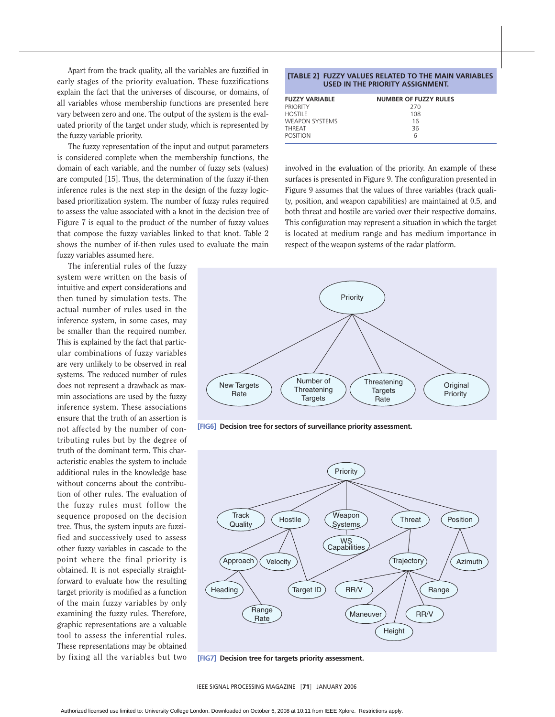Apart from the track quality, all the variables are fuzzified in early stages of the priority evaluation. These fuzzifications explain the fact that the universes of discourse, or domains, of all variables whose membership functions are presented here vary between zero and one. The output of the system is the evaluated priority of the target under study, which is represented by the fuzzy variable priority.

The fuzzy representation of the input and output parameters is considered complete when the membership functions, the domain of each variable, and the number of fuzzy sets (values) are computed [15]. Thus, the determination of the fuzzy if-then inference rules is the next step in the design of the fuzzy logicbased prioritization system. The number of fuzzy rules required to assess the value associated with a knot in the decision tree of Figure 7 is equal to the product of the number of fuzzy values that compose the fuzzy variables linked to that knot. Table 2 shows the number of if-then rules used to evaluate the main fuzzy variables assumed here.

The inferential rules of the fuzzy system were written on the basis of intuitive and expert considerations and then tuned by simulation tests. The actual number of rules used in the inference system, in some cases, may be smaller than the required number. This is explained by the fact that particular combinations of fuzzy variables are very unlikely to be observed in real systems. The reduced number of rules does not represent a drawback as maxmin associations are used by the fuzzy inference system. These associations ensure that the truth of an assertion is not affected by the number of contributing rules but by the degree of truth of the dominant term. This characteristic enables the system to include additional rules in the knowledge base without concerns about the contribution of other rules. The evaluation of the fuzzy rules must follow the sequence proposed on the decision tree. Thus, the system inputs are fuzzified and successively used to assess other fuzzy variables in cascade to the point where the final priority is obtained. It is not especially straightforward to evaluate how the resulting target priority is modified as a function of the main fuzzy variables by only examining the fuzzy rules. Therefore, graphic representations are a valuable tool to assess the inferential rules. These representations may be obtained by fixing all the variables but two

| <b>ITABLE 21 FUZZY VALUES RELATED TO THE MAIN VARIABLES</b> |
|-------------------------------------------------------------|
| USED IN THE PRIORITY ASSIGNMENT.                            |

| FUZZY VARIABLE | <b>NUMBER OF FUZZY RULES</b> |
|----------------|------------------------------|
| PRIORITY       | 270                          |
| HOSTILE        | 108                          |
| WEAPON SYSTEMS | 16                           |
| THREAT         | 36                           |
| POSITION       | 6                            |
|                |                              |

involved in the evaluation of the priority. An example of these surfaces is presented in Figure 9. The configuration presented in Figure 9 assumes that the values of three variables (track quality, position, and weapon capabilities) are maintained at 0.5, and both threat and hostile are varied over their respective domains. This configuration may represent a situation in which the target is located at medium range and has medium importance in respect of the weapon systems of the radar platform.



**[FIG6] Decision tree for sectors of surveillance priority assessment.**



**[FIG7] Decision tree for targets priority assessment.**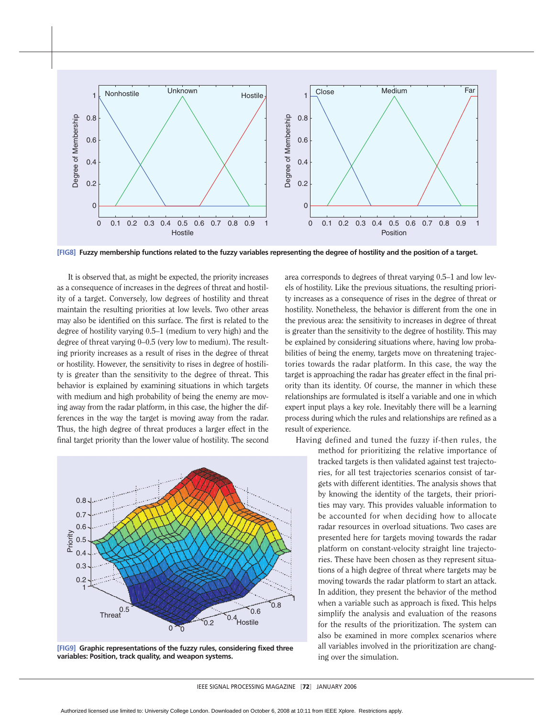

**[FIG8] Fuzzy membership functions related to the fuzzy variables representing the degree of hostility and the position of a target.** 

It is observed that, as might be expected, the priority increases as a consequence of increases in the degrees of threat and hostility of a target. Conversely, low degrees of hostility and threat maintain the resulting priorities at low levels. Two other areas may also be identified on this surface. The first is related to the degree of hostility varying 0.5–1 (medium to very high) and the degree of threat varying 0–0.5 (very low to medium). The resulting priority increases as a result of rises in the degree of threat or hostility. However, the sensitivity to rises in degree of hostility is greater than the sensitivity to the degree of threat. This behavior is explained by examining situations in which targets with medium and high probability of being the enemy are moving away from the radar platform, in this case, the higher the differences in the way the target is moving away from the radar. Thus, the high degree of threat produces a larger effect in the final target priority than the lower value of hostility. The second



**[FIG9] Graphic representations of the fuzzy rules, considering fixed three variables: Position, track quality, and weapon systems.**

area corresponds to degrees of threat varying 0.5–1 and low levels of hostility. Like the previous situations, the resulting priority increases as a consequence of rises in the degree of threat or hostility. Nonetheless, the behavior is different from the one in the previous area: the sensitivity to increases in degree of threat is greater than the sensitivity to the degree of hostility. This may be explained by considering situations where, having low probabilities of being the enemy, targets move on threatening trajectories towards the radar platform. In this case, the way the target is approaching the radar has greater effect in the final priority than its identity. Of course, the manner in which these relationships are formulated is itself a variable and one in which expert input plays a key role. Inevitably there will be a learning process during which the rules and relationships are refined as a result of experience.

Having defined and tuned the fuzzy if-then rules, the method for prioritizing the relative importance of tracked targets is then validated against test trajectories, for all test trajectories scenarios consist of targets with different identities. The analysis shows that by knowing the identity of the targets, their priorities may vary. This provides valuable information to be accounted for when deciding how to allocate radar resources in overload situations. Two cases are presented here for targets moving towards the radar platform on constant-velocity straight line trajectories. These have been chosen as they represent situations of a high degree of threat where targets may be moving towards the radar platform to start an attack. In addition, they present the behavior of the method when a variable such as approach is fixed. This helps simplify the analysis and evaluation of the reasons for the results of the prioritization. The system can also be examined in more complex scenarios where all variables involved in the prioritization are changing over the simulation.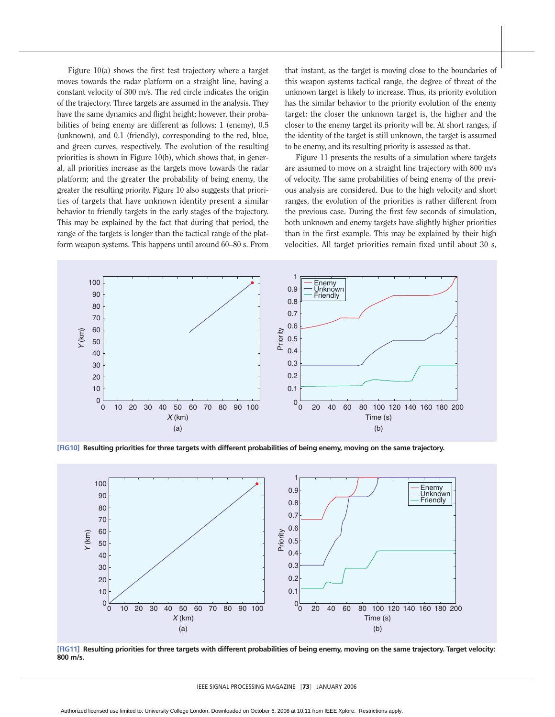Figure 10(a) shows the first test trajectory where a target moves towards the radar platform on a straight line, having a constant velocity of 300 m/s. The red circle indicates the origin of the trajectory. Three targets are assumed in the analysis. They have the same dynamics and flight height; however, their probabilities of being enemy are different as follows: 1 (enemy), 0.5 (unknown), and 0.1 (friendly), corresponding to the red, blue, and green curves, respectively. The evolution of the resulting priorities is shown in Figure 10(b), which shows that, in general, all priorities increase as the targets move towards the radar platform; and the greater the probability of being enemy, the greater the resulting priority. Figure 10 also suggests that priorities of targets that have unknown identity present a similar behavior to friendly targets in the early stages of the trajectory. This may be explained by the fact that during that period, the range of the targets is longer than the tactical range of the platform weapon systems. This happens until around 60–80 s. From that instant, as the target is moving close to the boundaries of this weapon systems tactical range, the degree of threat of the unknown target is likely to increase. Thus, its priority evolution has the similar behavior to the priority evolution of the enemy target: the closer the unknown target is, the higher and the closer to the enemy target its priority will be. At short ranges, if the identity of the target is still unknown, the target is assumed to be enemy, and its resulting priority is assessed as that.

Figure 11 presents the results of a simulation where targets are assumed to move on a straight line trajectory with 800 m/s of velocity. The same probabilities of being enemy of the previous analysis are considered. Due to the high velocity and short ranges, the evolution of the priorities is rather different from the previous case. During the first few seconds of simulation, both unknown and enemy targets have slightly higher priorities than in the first example. This may be explained by their high velocities. All target priorities remain fixed until about 30 s,



**[FIG10] Resulting priorities for three targets with different probabilities of being enemy, moving on the same trajectory.**



**[FIG11] Resulting priorities for three targets with different probabilities of being enemy, moving on the same trajectory. Target velocity: 800 m/s.**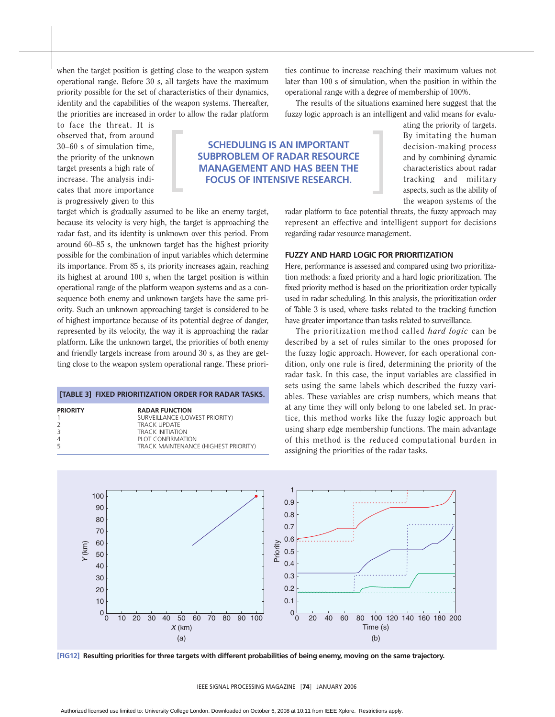when the target position is getting close to the weapon system operational range. Before 30 s, all targets have the maximum priority possible for the set of characteristics of their dynamics, identity and the capabilities of the weapon systems. Thereafter, the priorities are increased in order to allow the radar platform

to face the threat. It is observed that, from around 30–60 s of simulation time, the priority of the unknown target presents a high rate of increase. The analysis indicates that more importance is progressively given to this

target which is gradually assumed to be like an enemy target, because its velocity is very high, the target is approaching the radar fast, and its identity is unknown over this period. From around 60–85 s, the unknown target has the highest priority possible for the combination of input variables which determine its importance. From 85 s, its priority increases again, reaching its highest at around 100 s, when the target position is within operational range of the platform weapon systems and as a consequence both enemy and unknown targets have the same priority. Such an unknown approaching target is considered to be of highest importance because of its potential degree of danger, represented by its velocity, the way it is approaching the radar platform. Like the unknown target, the priorities of both enemy and friendly targets increase from around 30 s, as they are getting close to the weapon system operational range. These priori-

# **PRIORITY RADAR FUNCTION** 1 SURVEILLANCE (LOWEST PRIORITY)<br>
TRACK LIPDATE 2 TRACK UPDATE<br>3 TRACK INITIATI **[TABLE 3] FIXED PRIORITIZATION ORDER FOR RADAR TASKS.**

| - | .                                    |
|---|--------------------------------------|
|   | TRACK INITIATION                     |
| Δ | PLOT CONFIRMATION                    |
| 5 | TRACK MAINTENANCE (HIGHEST PRIORITY) |
|   |                                      |

ties continue to increase reaching their maximum values not later than 100 s of simulation, when the position in within the operational range with a degree of membership of 100%.

The results of the situations examined here suggest that the fuzzy logic approach is an intelligent and valid means for evalu-

> ating the priority of targets. By imitating the human decision-making process and by combining dynamic characteristics about radar tracking and military aspects, such as the ability of the weapon systems of the

radar platform to face potential threats, the fuzzy approach may represent an effective and intelligent support for decisions regarding radar resource management.

# **FUZZY AND HARD LOGIC FOR PRIORITIZATION**

Here, performance is assessed and compared using two prioritization methods: a fixed priority and a hard logic prioritization. The fixed priority method is based on the prioritization order typically used in radar scheduling. In this analysis, the prioritization order of Table 3 is used, where tasks related to the tracking function have greater importance than tasks related to surveillance.

The prioritization method called *hard logic* can be described by a set of rules similar to the ones proposed for the fuzzy logic approach. However, for each operational condition, only one rule is fired, determining the priority of the radar task. In this case, the input variables are classified in sets using the same labels which described the fuzzy variables. These variables are crisp numbers, which means that at any time they will only belong to one labeled set. In practice, this method works like the fuzzy logic approach but using sharp edge membership functions. The main advantage of this method is the reduced computational burden in assigning the priorities of the radar tasks.



**SCHEDULING IS AN IMPORTANT SUBPROBLEM OF RADAR RESOURCE MANAGEMENT AND HAS BEEN THE FOCUS OF INTENSIVE RESEARCH.**

**[FIG12] Resulting priorities for three targets with different probabilities of being enemy, moving on the same trajectory.**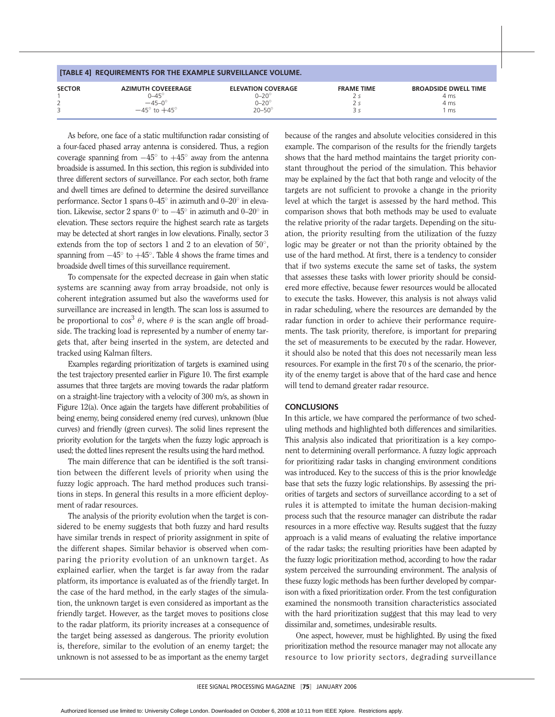| [TABLE 4] REQUIREMENTS FOR THE EXAMPLE SURVEILLANCE VOLUME. |                                                                                                  |                                                                                      |                   |                                                   |  |  |
|-------------------------------------------------------------|--------------------------------------------------------------------------------------------------|--------------------------------------------------------------------------------------|-------------------|---------------------------------------------------|--|--|
| <b>SECTOR</b>                                               | <b>AZIMUTH COVEEERAGE</b><br>$0 - 45^\circ$<br>$-45-0^{\circ}$<br>$-45^{\circ}$ to $+45^{\circ}$ | <b>ELEVATION COVERAGE</b><br>$0 - 20^{\circ}$<br>$0 - 20^{\circ}$<br>$20 - 50^\circ$ | <b>FRAME TIME</b> | <b>BROADSIDE DWELL TIME</b><br>4 ms<br>4 ms<br>ms |  |  |

As before, one face of a static multifunction radar consisting of a four-faced phased array antenna is considered. Thus, a region coverage spanning from  $-45^\circ$  to  $+45^\circ$  away from the antenna broadside is assumed. In this section, this region is subdivided into three different sectors of surveillance. For each sector, both frame and dwell times are defined to determine the desired surveillance performance. Sector 1 spans 0–45◦ in azimuth and 0–20◦ in elevation. Likewise, sector 2 spans  $0°$  to  $-45°$  in azimuth and  $0-20°$  in elevation. These sectors require the highest search rate as targets may be detected at short ranges in low elevations. Finally, sector 3 extends from the top of sectors 1 and 2 to an elevation of 50◦, spanning from  $-45^\circ$  to  $+45^\circ$ . Table 4 shows the frame times and broadside dwell times of this surveillance requirement.

To compensate for the expected decrease in gain when static systems are scanning away from array broadside, not only is coherent integration assumed but also the waveforms used for surveillance are increased in length. The scan loss is assumed to be proportional to  $\cos^3 \theta$ , where  $\theta$  is the scan angle off broadside. The tracking load is represented by a number of enemy targets that, after being inserted in the system, are detected and tracked using Kalman filters.

Examples regarding prioritization of targets is examined using the test trajectory presented earlier in Figure 10. The first example assumes that three targets are moving towards the radar platform on a straight-line trajectory with a velocity of 300 m/s, as shown in Figure 12(a). Once again the targets have different probabilities of being enemy, being considered enemy (red curves), unknown (blue curves) and friendly (green curves). The solid lines represent the priority evolution for the targets when the fuzzy logic approach is used; the dotted lines represent the results using the hard method.

The main difference that can be identified is the soft transition between the different levels of priority when using the fuzzy logic approach. The hard method produces such transitions in steps. In general this results in a more efficient deployment of radar resources.

The analysis of the priority evolution when the target is considered to be enemy suggests that both fuzzy and hard results have similar trends in respect of priority assignment in spite of the different shapes. Similar behavior is observed when comparing the priority evolution of an unknown target. As explained earlier, when the target is far away from the radar platform, its importance is evaluated as of the friendly target. In the case of the hard method, in the early stages of the simulation, the unknown target is even considered as important as the friendly target. However, as the target moves to positions close to the radar platform, its priority increases at a consequence of the target being assessed as dangerous. The priority evolution is, therefore, similar to the evolution of an enemy target; the unknown is not assessed to be as important as the enemy target because of the ranges and absolute velocities considered in this example. The comparison of the results for the friendly targets shows that the hard method maintains the target priority constant throughout the period of the simulation. This behavior may be explained by the fact that both range and velocity of the targets are not sufficient to provoke a change in the priority level at which the target is assessed by the hard method. This comparison shows that both methods may be used to evaluate the relative priority of the radar targets. Depending on the situation, the priority resulting from the utilization of the fuzzy logic may be greater or not than the priority obtained by the use of the hard method. At first, there is a tendency to consider that if two systems execute the same set of tasks, the system that assesses these tasks with lower priority should be considered more effective, because fewer resources would be allocated to execute the tasks. However, this analysis is not always valid in radar scheduling, where the resources are demanded by the radar function in order to achieve their performance requirements. The task priority, therefore, is important for preparing the set of measurements to be executed by the radar. However, it should also be noted that this does not necessarily mean less resources. For example in the first 70 s of the scenario, the priority of the enemy target is above that of the hard case and hence will tend to demand greater radar resource.

# **CONCLUSIONS**

In this article, we have compared the performance of two scheduling methods and highlighted both differences and similarities. This analysis also indicated that prioritization is a key component to determining overall performance. A fuzzy logic approach for prioritizing radar tasks in changing environment conditions was introduced. Key to the success of this is the prior knowledge base that sets the fuzzy logic relationships. By assessing the priorities of targets and sectors of surveillance according to a set of rules it is attempted to imitate the human decision-making process such that the resource manager can distribute the radar resources in a more effective way. Results suggest that the fuzzy approach is a valid means of evaluating the relative importance of the radar tasks; the resulting priorities have been adapted by the fuzzy logic prioritization method, according to how the radar system perceived the surrounding environment. The analysis of these fuzzy logic methods has been further developed by comparison with a fixed prioritization order. From the test configuration examined the nonsmooth transition characteristics associated with the hard prioritization suggest that this may lead to very dissimilar and, sometimes, undesirable results.

One aspect, however, must be highlighted. By using the fixed prioritization method the resource manager may not allocate any resource to low priority sectors, degrading surveillance